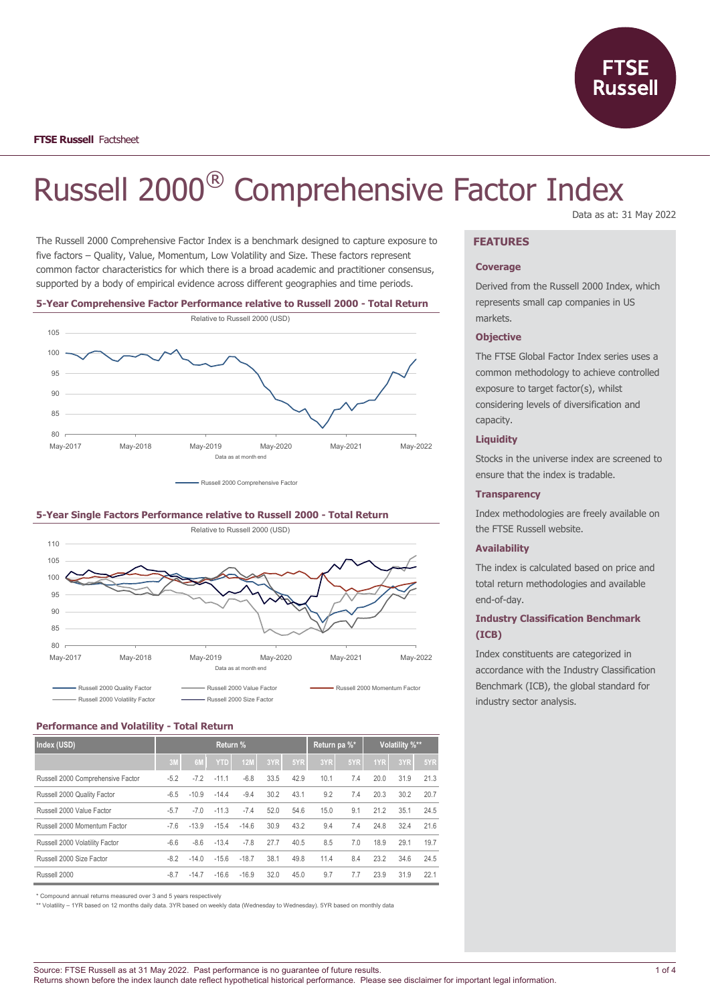

# Russell 2000® Comprehensive Factor Index Data as at: 31 May 2022

The Russell 2000 Comprehensive Factor Index is a benchmark designed to capture exposure to five factors – Quality, Value, Momentum, Low Volatility and Size. These factors represent common factor characteristics for which there is a broad academic and practitioner consensus, supported by a body of empirical evidence across different geographies and time periods.

#### **5-Year Comprehensive Factor Performance relative to Russell 2000 - Total Return**



- Russell 2000 Comprehensive Factor

#### **5-Year Single Factors Performance relative to Russell 2000 - Total Return**



### **Performance and Volatility - Total Return**

| Index (USD)                       | Return % |         |            |         |      | Return pa %* |      |     | Volatility %** |      |      |
|-----------------------------------|----------|---------|------------|---------|------|--------------|------|-----|----------------|------|------|
|                                   | 3M       | 6M      | <b>YTD</b> | 12M     | 3YR  | 5YR          | 3YR  | 5YR | 1YR            | 3YR  | 5YR  |
| Russell 2000 Comprehensive Factor | $-5.2$   | $-7.2$  | $-11.1$    | $-6.8$  | 33.5 | 42.9         | 10.1 | 7.4 | 20.0           | 31.9 | 21.3 |
| Russell 2000 Quality Factor       | $-6.5$   | $-10.9$ | $-14.4$    | $-9.4$  | 30.2 | 43.1         | 9.2  | 7.4 | 20.3           | 30.2 | 20.7 |
| Russell 2000 Value Factor         | $-5.7$   | $-7.0$  | $-11.3$    | $-7.4$  | 52.0 | 54.6         | 15.0 | 9.1 | 21.2           | 35.1 | 24.5 |
| Russell 2000 Momentum Factor      | $-7.6$   | $-13.9$ | $-15.4$    | $-14.6$ | 30.9 | 43.2         | 9.4  | 7.4 | 24.8           | 32.4 | 21.6 |
| Russell 2000 Volatility Factor    | $-6.6$   | $-8.6$  | $-13.4$    | $-7.8$  | 27.7 | 40.5         | 8.5  | 7.0 | 18.9           | 29.1 | 19.7 |
| Russell 2000 Size Factor          | $-8.2$   | $-14.0$ | $-15.6$    | $-18.7$ | 38.1 | 49.8         | 11.4 | 8.4 | 23.2           | 34.6 | 24.5 |
| Russell 2000                      | $-8.7$   | $-14.7$ | $-16.6$    | $-16.9$ | 32.0 | 45.0         | 9.7  | 7.7 | 23.9           | 31.9 | 22.1 |

\* Compound annual returns measured over 3 and 5 years respectively

\*\* Volatility – 1YR based on 12 months daily data. 3YR based on weekly data (Wednesday to Wednesday). 5YR based on monthly data

### **FEATURES**

### **Coverage**

Derived from the Russell 2000 Index, which represents small cap companies in US markets.

### **Objective**

The FTSE Global Factor Index series uses a common methodology to achieve controlled exposure to target factor(s), whilst considering levels of diversification and capacity.

### **Liquidity**

Stocks in the universe index are screened to ensure that the index is tradable.

#### **Transparency**

Index methodologies are freely available on the FTSE Russell website.

### **Availability**

The index is calculated based on price and total return methodologies and available end-of-day.

# **Industry Classification Benchmark (ICB)**

Index constituents are categorized in accordance with the Industry Classification Benchmark (ICB), the global standard for industry sector analysis.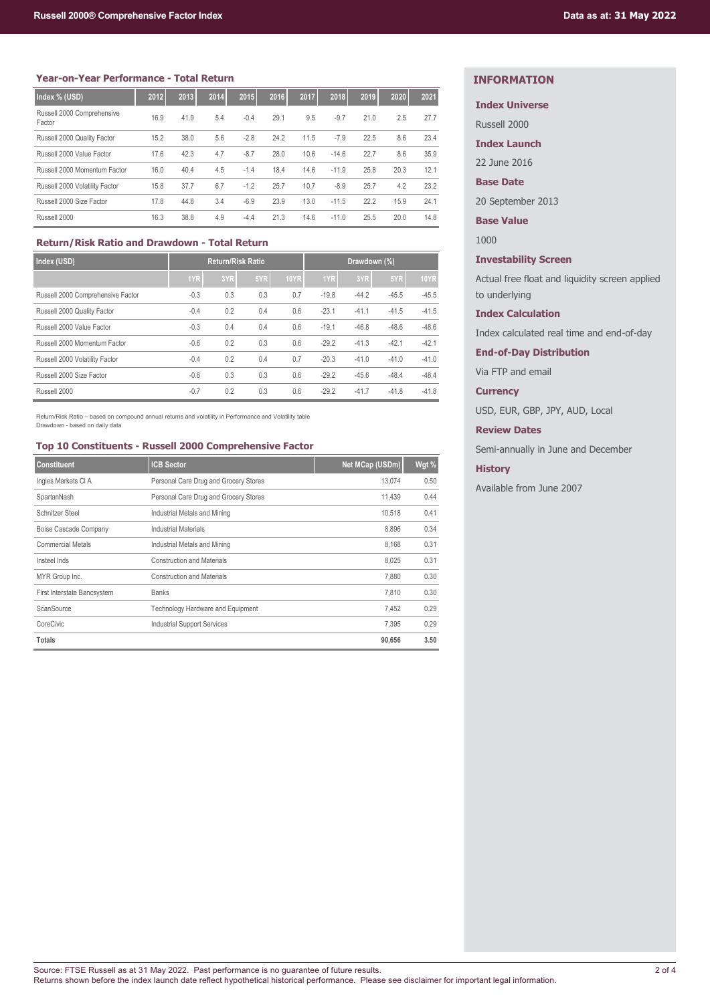### **Year-on-Year Performance - Total Return**

| Index % (USD)                        | 2012 | 2013 | 2014 | 2015   | 2016 | 2017 | 2018    | 2019 | 2020 | 2021 |
|--------------------------------------|------|------|------|--------|------|------|---------|------|------|------|
| Russell 2000 Comprehensive<br>Factor | 16.9 | 41.9 | 5.4  | $-0.4$ | 29.1 | 9.5  | $-9.7$  | 21.0 | 2.5  | 27.7 |
| Russell 2000 Quality Factor          | 15.2 | 38.0 | 5.6  | $-2.8$ | 24.2 | 11.5 | $-7.9$  | 22.5 | 8.6  | 23.4 |
| Russell 2000 Value Factor            | 17.6 | 42.3 | 4.7  | $-8.7$ | 28.0 | 10.6 | $-14.6$ | 22.7 | 8.6  | 35.9 |
| Russell 2000 Momentum Factor         | 16.0 | 40.4 | 4.5  | $-1.4$ | 18.4 | 14.6 | $-11.9$ | 25.8 | 20.3 | 12.1 |
| Russell 2000 Volatility Factor       | 15.8 | 37.7 | 6.7  | $-1.2$ | 25.7 | 10.7 | $-8.9$  | 25.7 | 4.2  | 23.2 |
| Russell 2000 Size Factor             | 17.8 | 44.8 | 3.4  | $-6.9$ | 23.9 | 13.0 | $-11.5$ | 22.2 | 15.9 | 24.1 |
| Russell 2000                         | 16.3 | 38.8 | 4.9  | $-4.4$ | 21.3 | 14.6 | $-11.0$ | 25.5 | 20.0 | 14.8 |

# **Return/Risk Ratio and Drawdown - Total Return**

| Index (USD)                       |        | <b>Return/Risk Ratio</b> |     |             | Drawdown (%) |         |         |             |
|-----------------------------------|--------|--------------------------|-----|-------------|--------------|---------|---------|-------------|
|                                   | 1YR    | 3YR                      | 5YR | <b>10YR</b> | 1YR          | 3YR     | 5YR     | <b>10YR</b> |
| Russell 2000 Comprehensive Factor | $-0.3$ | 0.3                      | 0.3 | 0.7         | $-19.8$      | $-44.2$ | $-45.5$ | $-45.5$     |
| Russell 2000 Quality Factor       | $-0.4$ | 0.2                      | 0.4 | 0.6         | $-23.1$      | $-41.1$ | $-41.5$ | $-41.5$     |
| Russell 2000 Value Factor         | $-0.3$ | 0.4                      | 0.4 | 0.6         | $-19.1$      | $-46.8$ | $-48.6$ | $-48.6$     |
| Russell 2000 Momentum Factor      | $-0.6$ | 0.2                      | 0.3 | 0.6         | $-29.2$      | $-41.3$ | $-42.1$ | $-42.1$     |
| Russell 2000 Volatility Factor    | $-0.4$ | 0.2                      | 0.4 | 0.7         | $-20.3$      | $-41.0$ | $-41.0$ | $-41.0$     |
| Russell 2000 Size Factor          | $-0.8$ | 0.3                      | 0.3 | 0.6         | $-29.2$      | $-45.6$ | $-48.4$ | $-48.4$     |
| Russell 2000                      | $-0.7$ | 0.2                      | 0.3 | 0.6         | $-29.2$      | $-41.7$ | $-41.8$ | $-41.8$     |

Return/Risk Ratio – based on compound annual returns and volatility in Performance and Volatility table Drawdown - based on daily data

# **Top 10 Constituents - Russell 2000 Comprehensive Factor**

| <b>Constituent</b>          | <b>ICB Sector</b>                     | Net MCap (USDm) | Wgt % |
|-----------------------------|---------------------------------------|-----------------|-------|
| Ingles Markets CI A         | Personal Care Drug and Grocery Stores | 13.074          | 0.50  |
| SpartanNash                 | Personal Care Drug and Grocery Stores | 11.439          | 0.44  |
| Schnitzer Steel             | Industrial Metals and Mining          | 10.518          | 0.41  |
| Boise Cascade Company       | <b>Industrial Materials</b>           | 8.896           | 0.34  |
| <b>Commercial Metals</b>    | Industrial Metals and Mining          | 8.168           | 0.31  |
| Insteel Inds                | <b>Construction and Materials</b>     | 8.025           | 0.31  |
| MYR Group Inc.              | <b>Construction and Materials</b>     | 7.880           | 0.30  |
| First Interstate Bancsystem | <b>Banks</b>                          | 7.810           | 0.30  |
| ScanSource                  | Technology Hardware and Equipment     | 7,452           | 0.29  |
| CoreCivic                   | <b>Industrial Support Services</b>    | 7.395           | 0.29  |
| <b>Totals</b>               |                                       | 90,656          | 3.50  |

# **INFORMATION**

### **Index Universe**

Russell 2000

**Index Launch**

22 June 2016

**Base Date**

20 September 2013

**Base Value**

1000

# **Investability Screen**

Actual free float and liquidity screen applied to underlying

### **Index Calculation**

Index calculated real time and end-of-day

**End-of-Day Distribution**

Via FTP and email

# **Currency**

USD, EUR, GBP, JPY, AUD, Local

# **Review Dates**

Semi-annually in June and December

### **History**

Available from June 2007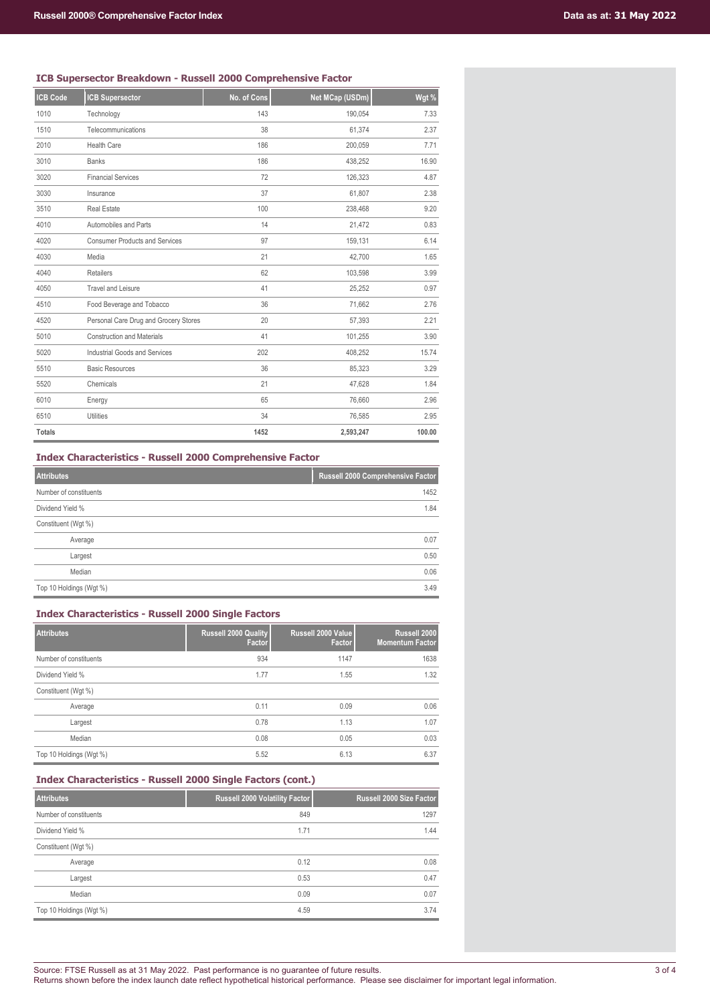### **ICB Supersector Breakdown - Russell 2000 Comprehensive Factor**

| <b>ICB Code</b> | <b>ICB Supersector</b>                | No. of Cons | Net MCap (USDm) | Wgt %  |
|-----------------|---------------------------------------|-------------|-----------------|--------|
| 1010            | Technology                            | 143         | 190,054         | 7.33   |
| 1510            | Telecommunications                    | 38          | 61,374          | 2.37   |
| 2010            | <b>Health Care</b>                    | 186         | 200,059         | 7.71   |
| 3010            | <b>Banks</b>                          | 186         | 438,252         | 16.90  |
| 3020            | <b>Financial Services</b>             | 72          | 126,323         | 4.87   |
| 3030            | Insurance                             | 37          | 61,807          | 2.38   |
| 3510            | Real Estate                           | 100         | 238,468         | 9.20   |
| 4010            | Automobiles and Parts                 | 14          | 21,472          | 0.83   |
| 4020            | <b>Consumer Products and Services</b> | 97          | 159,131         | 6.14   |
| 4030            | Media                                 | 21          | 42,700          | 1.65   |
| 4040            | Retailers                             | 62          | 103,598         | 3.99   |
| 4050            | <b>Travel and Leisure</b>             | 41          | 25,252          | 0.97   |
| 4510            | Food Beverage and Tobacco             | 36          | 71,662          | 2.76   |
| 4520            | Personal Care Drug and Grocery Stores | 20          | 57,393          | 2.21   |
| 5010            | <b>Construction and Materials</b>     | 41          | 101,255         | 3.90   |
| 5020            | Industrial Goods and Services         | 202         | 408,252         | 15.74  |
| 5510            | <b>Basic Resources</b>                | 36          | 85,323          | 3.29   |
| 5520            | Chemicals                             | 21          | 47,628          | 1.84   |
| 6010            | Energy                                | 65          | 76,660          | 2.96   |
| 6510            | Utilities                             | 34          | 76,585          | 2.95   |
| <b>Totals</b>   |                                       | 1452        | 2,593,247       | 100.00 |

**Index Characteristics - Russell 2000 Comprehensive Factor**

| <b>Attributes</b>       | Russell 2000 Comprehensive Factor |
|-------------------------|-----------------------------------|
| Number of constituents  | 1452                              |
| Dividend Yield %        | 1.84                              |
| Constituent (Wgt %)     |                                   |
| Average                 | 0.07                              |
| Largest                 | 0.50                              |
| Median                  | 0.06                              |
| Top 10 Holdings (Wgt %) | 3.49                              |

### **Index Characteristics - Russell 2000 Single Factors**

| <b>Attributes</b>       | <b>Russell 2000 Quality</b><br>Factor | Russell 2000 Value<br>Factor | Russell 2000<br><b>Momentum Factor</b> |
|-------------------------|---------------------------------------|------------------------------|----------------------------------------|
| Number of constituents  | 934                                   | 1147                         | 1638                                   |
| Dividend Yield %        | 1.77                                  | 1.55                         | 1.32                                   |
| Constituent (Wgt %)     |                                       |                              |                                        |
| Average                 | 0.11                                  | 0.09                         | 0.06                                   |
| Largest                 | 0.78                                  | 1.13                         | 1.07                                   |
| Median                  | 0.08                                  | 0.05                         | 0.03                                   |
| Top 10 Holdings (Wgt %) | 5.52                                  | 6.13                         | 6.37                                   |

### **Index Characteristics - Russell 2000 Single Factors (cont.)**

| <b>Attributes</b>       | Russell 2000 Volatility Factor | Russell 2000 Size Factor |
|-------------------------|--------------------------------|--------------------------|
| Number of constituents  | 849                            | 1297                     |
| Dividend Yield %        | 1.71                           | 1.44                     |
| Constituent (Wgt %)     |                                |                          |
| Average                 | 0.12                           | 0.08                     |
| Largest                 | 0.53                           | 0.47                     |
| Median                  | 0.09                           | 0.07                     |
| Top 10 Holdings (Wgt %) | 4.59                           | 3.74                     |